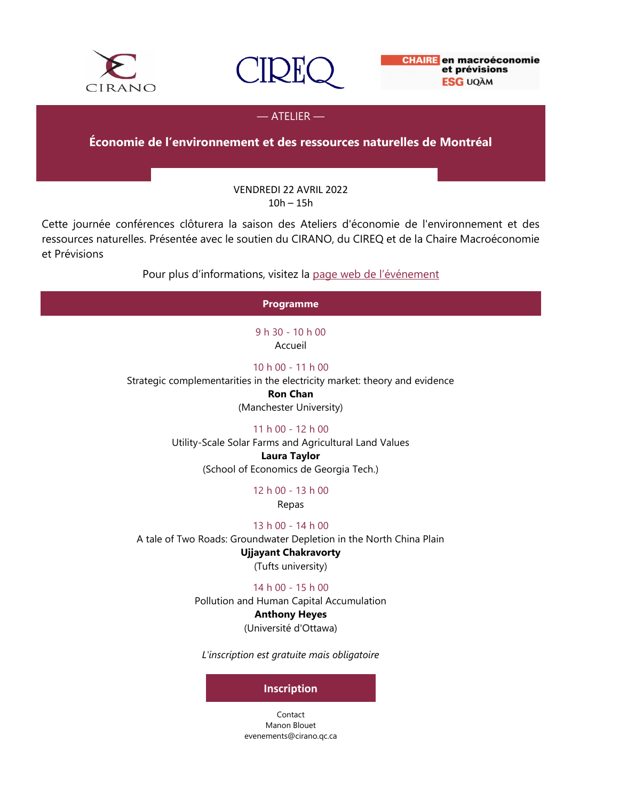



**CHAIRE** en macroéconomie et prévisions **ESG UQAM** 

# ― ATELIER ―

**Économie de l'environnement et des ressources naturelles de Montréal**

VENDREDI 22 AVRIL 2022  $10h - 15h$ 

Cette journée conférences clôturera la saison des Ateliers d'économie de l'environnement et des ressources naturelles. Présentée avec le soutien du CIRANO, du CIREQ et de la Chaire Macroéconomie et Prévisions

Pour plus d'informations, visitez la [page web de l](https://www.cirano.qc.ca/fr/evenements/1057#sommaire)'événement

**Programme**

9 h 30 - 10 h 00 Accueil

10 h 00 - 11 h 00

Strategic complementarities in the electricity market: theory and evidence

# **Ron Chan**

(Manchester University)

#### 11 h 00 - 12 h 00

Utility-Scale Solar Farms and Agricultural Land Values **Laura Taylor**

(School of Economics de Georgia Tech.)

12 h 00 - 13 h 00 Repas

13 h 00 - 14 h 00

A tale of Two Roads: Groundwater Depletion in the North China Plain **Ujjayant Chakravorty** (Tufts university)

# 14 h 00 - 15 h 00

Pollution and Human Capital Accumulation

# **Anthony Heyes**

(Université d'Ottawa)

*L'inscription est gratuite mais obligatoire*

**[Inscription](https://www.cirano.qc.ca/fr/evenements/1057#inscription)**

Contact Manon Blouet evenements@cirano.qc.ca